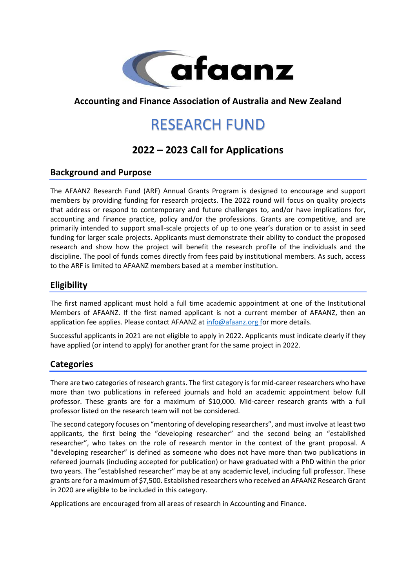

## **Accounting and Finance Association of Australia and New Zealand**

# RESEARCH FUND

# **2022 – 2023 Call for Applications**

#### **Background and Purpose**

The AFAANZ Research Fund (ARF) Annual Grants Program is designed to encourage and support members by providing funding for research projects. The 2022 round will focus on quality projects that address or respond to contemporary and future challenges to, and/or have implications for, accounting and finance practice, policy and/or the professions. Grants are competitive, and are primarily intended to support small-scale projects of up to one year's duration or to assist in seed funding for larger scale projects. Applicants must demonstrate their ability to conduct the proposed research and show how the project will benefit the research profile of the individuals and the discipline. The pool of funds comes directly from fees paid by institutional members. As such, access to the ARF is limited to AFAANZ members based at a member institution.

### **Eligibility**

The first named applicant must hold a full time academic appointment at one of the Institutional Members of AFAANZ. If the first named applicant is not a current member of AFAANZ, then an application fee applies. Please contact AFAANZ at [info@afaanz.org](mailto:info@afaanz.org) for more details.

Successful applicants in 2021 are not eligible to apply in 2022. Applicants must indicate clearly if they have applied (or intend to apply) for another grant for the same project in 2022.

### **Categories**

There are two categories of research grants. The first category is for mid-career researchers who have more than two publications in refereed journals and hold an academic appointment below full professor. These grants are for a maximum of \$10,000. Mid-career research grants with a full professor listed on the research team will not be considered.

The second category focuses on "mentoring of developing researchers", and must involve at least two applicants, the first being the "developing researcher" and the second being an "established researcher", who takes on the role of research mentor in the context of the grant proposal. A "developing researcher" is defined as someone who does not have more than two publications in refereed journals (including accepted for publication) or have graduated with a PhD within the prior two years. The "established researcher" may be at any academic level, including full professor. These grants are for a maximum of \$7,500. Established researchers who received an AFAANZ Research Grant in 2020 are eligible to be included in this category.

Applications are encouraged from all areas of research in Accounting and Finance.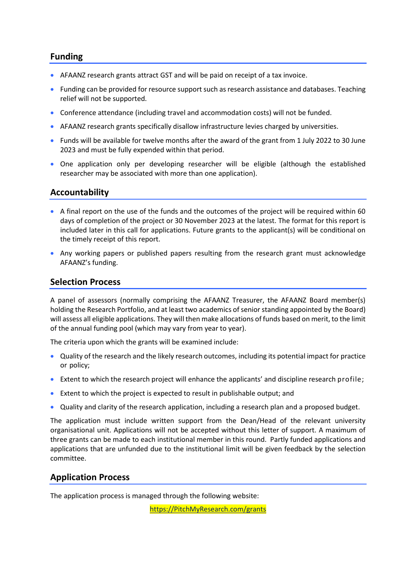#### **Funding**

- AFAANZ research grants attract GST and will be paid on receipt of a tax invoice.
- Funding can be provided for resource support such as research assistance and databases. Teaching relief will not be supported.
- Conference attendance (including travel and accommodation costs) will not be funded.
- AFAANZ research grants specifically disallow infrastructure levies charged by universities.
- Funds will be available for twelve months after the award of the grant from 1 July 2022 to 30 June 2023 and must be fully expended within that period.
- One application only per developing researcher will be eligible (although the established researcher may be associated with more than one application).

### **Accountability**

- A final report on the use of the funds and the outcomes of the project will be required within 60 days of completion of the project or 30 November 2023 at the latest. The format for this report is included later in this call for applications. Future grants to the applicant(s) will be conditional on the timely receipt of this report.
- Any working papers or published papers resulting from the research grant must acknowledge AFAANZ's funding.

#### **Selection Process**

A panel of assessors (normally comprising the AFAANZ Treasurer, the AFAANZ Board member(s) holding the Research Portfolio, and at least two academics of senior standing appointed by the Board) will assess all eligible applications. They will then make allocations of funds based on merit, to the limit of the annual funding pool (which may vary from year to year).

The criteria upon which the grants will be examined include:

- Quality of the research and the likely research outcomes, including its potential impact for practice or policy;
- Extent to which the research project will enhance the applicants' and discipline research profile;
- Extent to which the project is expected to result in publishable output; and
- Quality and clarity of the research application, including a research plan and a proposed budget.

The application must include written support from the Dean/Head of the relevant university organisational unit. Applications will not be accepted without this letter of support. A maximum of three grants can be made to each institutional member in this round. Partly funded applications and applications that are unfunded due to the institutional limit will be given feedback by the selection committee.

#### **Application Process**

The application process is managed through the following website:

[https://PitchMyResearch.com/grants](https://pitchmyresearch.com/grants)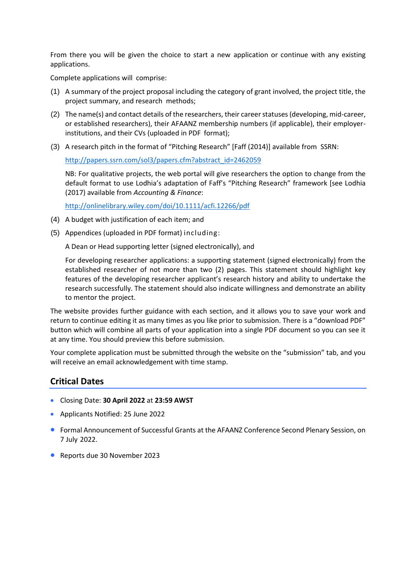From there you will be given the choice to start a new application or continue with any existing applications.

Complete applications will comprise:

- (1) A summary of the project proposal including the category of grant involved, the project title, the project summary, and research methods;
- (2) The name(s) and contact details of the researchers, their career statuses (developing, mid-career, or established researchers), their AFAANZ membership numbers (if applicable), their employerinstitutions, and their CVs (uploaded in PDF format);
- (3) A research pitch in the format of "Pitching Research" [Faff (2014)] available from SSRN:

[http://papers.ssrn.com/sol3/papers.cfm?abstract\\_id=2462059](http://papers.ssrn.com/sol3/papers.cfm?abstract_id=2462059)

NB: For qualitative projects, the web portal will give researchers the option to change from the default format to use Lodhia's adaptation of Faff's "Pitching Research" framework [see Lodhia (2017) available from *Accounting & Finance*:

<http://onlinelibrary.wiley.com/doi/10.1111/acfi.12266/pdf>

- (4) A budget with justification of each item; and
- (5) Appendices (uploaded in PDF format) including:

A Dean or Head supporting letter (signed electronically), and

For developing researcher applications: a supporting statement (signed electronically) from the established researcher of not more than two (2) pages. This statement should highlight key features of the developing researcher applicant's research history and ability to undertake the research successfully. The statement should also indicate willingness and demonstrate an ability to mentor the project.

The website provides further guidance with each section, and it allows you to save your work and return to continue editing it as many times as you like prior to submission. There is a "download PDF" button which will combine all parts of your application into a single PDF document so you can see it at any time. You should preview this before submission.

Your complete application must be submitted through the website on the "submission" tab, and you will receive an email acknowledgement with time stamp.

#### **Critical Dates**

- Closing Date: **30 April 2022** at **23:59 AWST**
- Applicants Notified: 25 June 2022
- Formal Announcement of Successful Grants at the AFAANZ Conference Second Plenary Session, on 7 July 2022.
- Reports due 30 November 2023